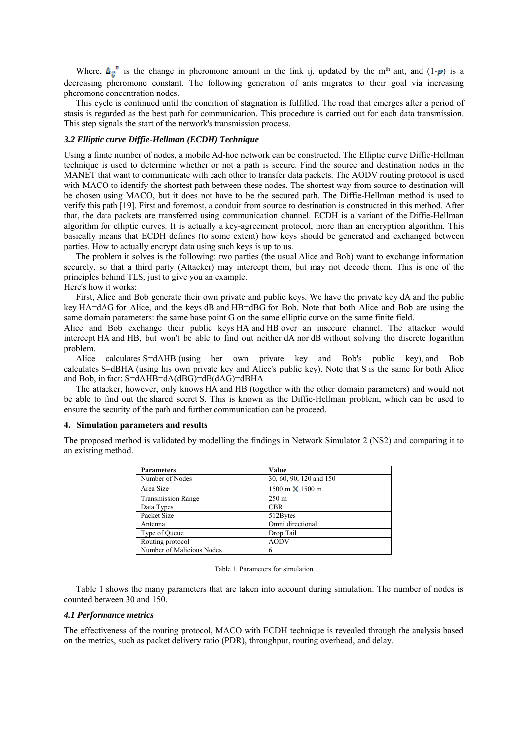Where,  $\mathbf{\hat{A}_{ii}}^n$  is the change in pheromone amount in the link ij, updated by the m<sup>th</sup> ant, and (1- $\rho$ ) is a decreasing pheromone constant. The following generation of ants migrates to their goal via increasing pheromone concentration nodes.

This cycle is continued until the condition of stagnation is fulfilled. The road that emerges after a period of stasis is regarded as the best path for communication. This procedure is carried out for each data transmission. This step signals the start of the network's transmission process.

## *3.2 Elliptic curve Diffie-Hellman (ECDH) Technique*

Using a finite number of nodes, a mobile Ad-hoc network can be constructed. The Elliptic curve Diffie-Hellman technique is used to determine whether or not a path is secure. Find the source and destination nodes in the MANET that want to communicate with each other to transfer data packets. The AODV routing protocol is used with MACO to identify the shortest path between these nodes. The shortest way from source to destination will be chosen using MACO, but it does not have to be the secured path. The Diffie-Hellman method is used to verify this path [19]. First and foremost, a conduit from source to destination is constructed in this method. After that, the data packets are transferred using communication channel. ECDH is a variant of the Diffie-Hellman algorithm for elliptic curves. It is actually a key-agreement protocol, more than an encryption algorithm. This basically means that ECDH defines (to some extent) how keys should be generated and exchanged between parties. How to actually encrypt data using such keys is up to us.

The problem it solves is the following: two parties (the usual Alice and Bob) want to exchange information securely, so that a third party (Attacker) may intercept them, but may not decode them. This is one of the principles behind TLS, just to give you an example.

## Here's how it works:

First, Alice and Bob generate their own private and public keys. We have the private key dA and the public key HA=dAG for Alice, and the keys dB and HB=dBG for Bob. Note that both Alice and Bob are using the same domain parameters: the same base point G on the same elliptic curve on the same finite field.

Alice and Bob exchange their public keys HA and HB over an insecure channel. The attacker would intercept HA and HB, but won't be able to find out neither dA nor dB without solving the discrete logarithm problem.

Alice calculates S=dAHB (using her own private key and Bob's public key), and Bob calculates S=dBHA (using his own private key and Alice's public key). Note that S is the same for both Alice and Bob, in fact: S=dAHB=dA(dBG)=dB(dAG)=dBHA

The attacker, however, only knows HA and HB (together with the other domain parameters) and would not be able to find out the shared secret S. This is known as the Diffie-Hellman problem, which can be used to ensure the security of the path and further communication can be proceed.

## **4. Simulation parameters and results**

The proposed method is validated by modelling the findings in Network Simulator 2 (NS2) and comparing it to an existing method.

| <b>Parameters</b>         | Value                                  |
|---------------------------|----------------------------------------|
| Number of Nodes           | 30, 60, 90, 120 and 150                |
| Area Size                 | $1500 \text{ m} \times 1500 \text{ m}$ |
| <b>Transmission Range</b> | $250 \text{ m}$                        |
| Data Types                | <b>CBR</b>                             |
| Packet Size               | 512Bytes                               |
| Antenna                   | Omni directional                       |
| Type of Queue             | Drop Tail                              |
| Routing protocol          | <b>AODV</b>                            |
| Number of Malicious Nodes | 6                                      |

#### Table 1. Parameters for simulation

Table 1 shows the many parameters that are taken into account during simulation. The number of nodes is counted between 30 and 150.

## *4.1 Performance metrics*

The effectiveness of the routing protocol, MACO with ECDH technique is revealed through the analysis based on the metrics, such as packet delivery ratio (PDR), throughput, routing overhead, and delay.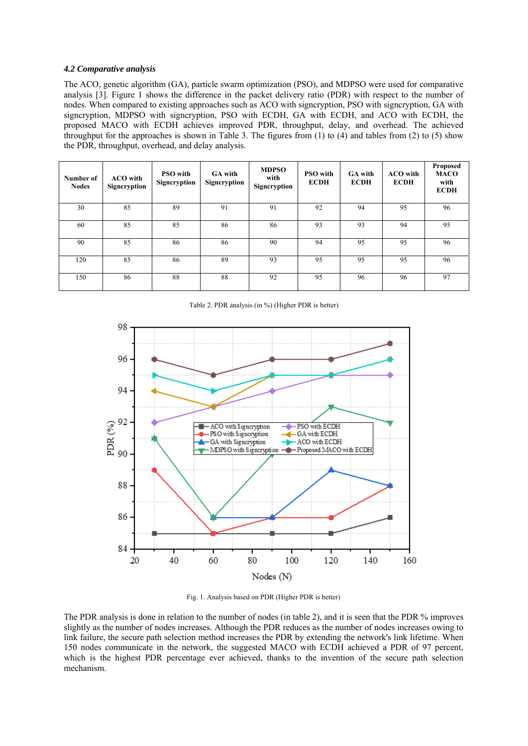# *4.2 Comparative analysis*

The ACO, genetic algorithm (GA), particle swarm optimization (PSO), and MDPSO were used for comparative analysis [3]. Figure 1 shows the difference in the packet delivery ratio (PDR) with respect to the number of nodes. When compared to existing approaches such as ACO with signcryption, PSO with signcryption, GA with signcryption, MDPSO with signcryption, PSO with ECDH, GA with ECDH, and ACO with ECDH, the proposed MACO with ECDH achieves improved PDR, throughput, delay, and overhead. The achieved throughput for the approaches is shown in Table 3. The figures from  $(1)$  to  $(4)$  and tables from  $(2)$  to  $(5)$  show the PDR, throughput, overhead, and delay analysis.

| Number of<br><b>Nodes</b> | <b>ACO</b> with<br>Signeryption | <b>PSO</b> with<br>Signeryption | <b>GA</b> with<br>Signeryption | <b>MDPSO</b><br>with<br>Signcryption | <b>PSO</b> with<br><b>ECDH</b> | <b>GA</b> with<br><b>ECDH</b> | <b>ACO</b> with<br><b>ECDH</b> | <b>Proposed</b><br><b>MACO</b><br>with<br><b>ECDH</b> |
|---------------------------|---------------------------------|---------------------------------|--------------------------------|--------------------------------------|--------------------------------|-------------------------------|--------------------------------|-------------------------------------------------------|
| 30                        | 85                              | 89                              | 91                             | 91                                   | 92                             | 94                            | 95                             | 96                                                    |
| 60                        | 85                              | 85                              | 86                             | 86                                   | 93                             | 93                            | 94                             | 95                                                    |
| 90                        | 85                              | 86                              | 86                             | 90                                   | 94                             | 95                            | 95                             | 96                                                    |
| 120                       | 85                              | 86                              | 89                             | 93                                   | 95                             | 95                            | 95                             | 96                                                    |
| 150                       | 86                              | 88                              | 88                             | 92                                   | 95                             | 96                            | 96                             | 97                                                    |

Table 2. PDR analysis (in %) (Higher PDR is better)



Fig. 1. Analysis based on PDR (Higher PDR is better)

The PDR analysis is done in relation to the number of nodes (in table 2), and it is seen that the PDR % improves slightly as the number of nodes increases. Although the PDR reduces as the number of nodes increases owing to link failure, the secure path selection method increases the PDR by extending the network's link lifetime. When 150 nodes communicate in the network, the suggested MACO with ECDH achieved a PDR of 97 percent, which is the highest PDR percentage ever achieved, thanks to the invention of the secure path selection mechanism.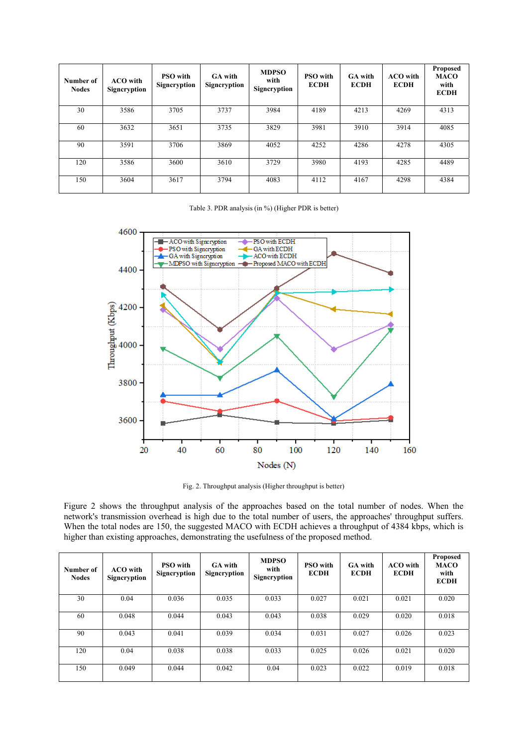| Number of<br><b>Nodes</b> | <b>ACO</b> with<br>Signeryption | <b>PSO</b> with<br>Signcryption | <b>GA</b> with<br>Signcryption | <b>MDPSO</b><br>with<br>Signcryption | <b>PSO</b> with<br><b>ECDH</b> | <b>GA</b> with<br><b>ECDH</b> | <b>ACO</b> with<br><b>ECDH</b> | <b>Proposed</b><br><b>MACO</b><br>with<br><b>ECDH</b> |
|---------------------------|---------------------------------|---------------------------------|--------------------------------|--------------------------------------|--------------------------------|-------------------------------|--------------------------------|-------------------------------------------------------|
| 30                        | 3586                            | 3705                            | 3737                           | 3984                                 | 4189                           | 4213                          | 4269                           | 4313                                                  |
| 60                        | 3632                            | 3651                            | 3735                           | 3829                                 | 3981                           | 3910                          | 3914                           | 4085                                                  |
| 90                        | 3591                            | 3706                            | 3869                           | 4052                                 | 4252                           | 4286                          | 4278                           | 4305                                                  |
| 120                       | 3586                            | 3600                            | 3610                           | 3729                                 | 3980                           | 4193                          | 4285                           | 4489                                                  |
| 150                       | 3604                            | 3617                            | 3794                           | 4083                                 | 4112                           | 4167                          | 4298                           | 4384                                                  |

## Table 3. PDR analysis (in %) (Higher PDR is better)



Fig. 2. Throughput analysis (Higher throughput is better)

Figure 2 shows the throughput analysis of the approaches based on the total number of nodes. When the network's transmission overhead is high due to the total number of users, the approaches' throughput suffers. When the total nodes are 150, the suggested MACO with ECDH achieves a throughput of 4384 kbps, which is higher than existing approaches, demonstrating the usefulness of the proposed method.

| Number of<br><b>Nodes</b> | <b>ACO</b> with<br>Signeryption | <b>PSO</b> with<br>Signcryption | <b>GA</b> with<br>Signcryption | <b>MDPSO</b><br>with<br>Signcryption | <b>PSO</b> with<br><b>ECDH</b> | <b>GA</b> with<br><b>ECDH</b> | <b>ACO</b> with<br><b>ECDH</b> | <b>Proposed</b><br><b>MACO</b><br>with<br><b>ECDH</b> |
|---------------------------|---------------------------------|---------------------------------|--------------------------------|--------------------------------------|--------------------------------|-------------------------------|--------------------------------|-------------------------------------------------------|
| 30                        | 0.04                            | 0.036                           | 0.035                          | 0.033                                | 0.027                          | 0.021                         | 0.021                          | 0.020                                                 |
| 60                        | 0.048                           | 0.044                           | 0.043                          | 0.043                                | 0.038                          | 0.029                         | 0.020                          | 0.018                                                 |
| 90                        | 0.043                           | 0.041                           | 0.039                          | 0.034                                | 0.031                          | 0.027                         | 0.026                          | 0.023                                                 |
| 120                       | 0.04                            | 0.038                           | 0.038                          | 0.033                                | 0.025                          | 0.026                         | 0.021                          | 0.020                                                 |
| 150                       | 0.049                           | 0.044                           | 0.042                          | 0.04                                 | 0.023                          | 0.022                         | 0.019                          | 0.018                                                 |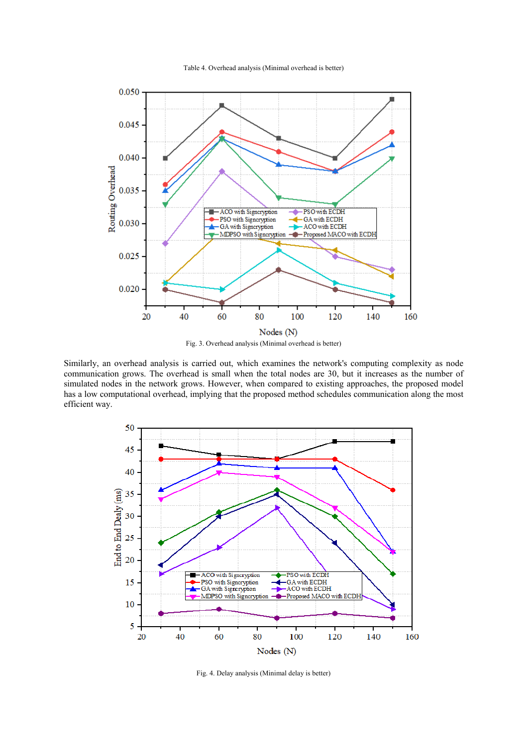

Table 4. Overhead analysis (Minimal overhead is better)

Similarly, an overhead analysis is carried out, which examines the network's computing complexity as node communication grows. The overhead is small when the total nodes are 30, but it increases as the number of simulated nodes in the network grows. However, when compared to existing approaches, the proposed model has a low computational overhead, implying that the proposed method schedules communication along the most efficient way.



Fig. 4. Delay analysis (Minimal delay is better)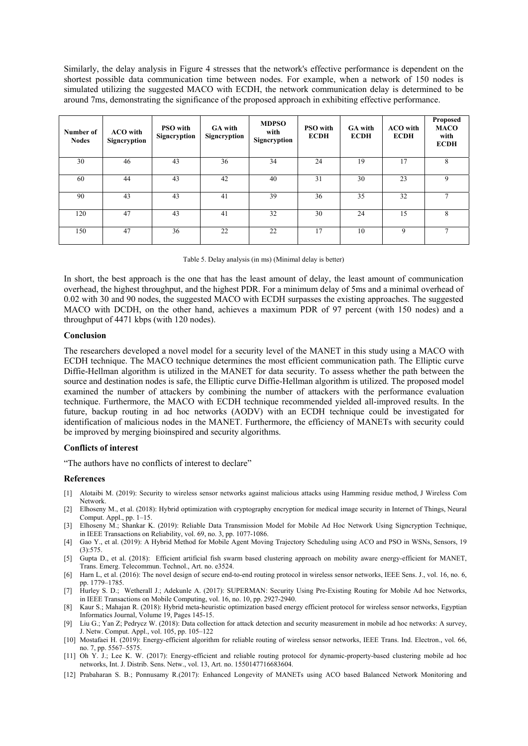Similarly, the delay analysis in Figure 4 stresses that the network's effective performance is dependent on the shortest possible data communication time between nodes. For example, when a network of 150 nodes is simulated utilizing the suggested MACO with ECDH, the network communication delay is determined to be around 7ms, demonstrating the significance of the proposed approach in exhibiting effective performance.

| Number of<br><b>Nodes</b> | <b>ACO</b> with<br>Signcryption | <b>PSO</b> with<br>Signcryption | <b>GA</b> with<br>Signcryption | <b>MDPSO</b><br>with<br>Signcryption | <b>PSO</b> with<br><b>ECDH</b> | <b>GA</b> with<br><b>ECDH</b> | <b>ACO</b> with<br><b>ECDH</b> | <b>Proposed</b><br><b>MACO</b><br>with<br><b>ECDH</b> |
|---------------------------|---------------------------------|---------------------------------|--------------------------------|--------------------------------------|--------------------------------|-------------------------------|--------------------------------|-------------------------------------------------------|
| 30                        | 46                              | 43                              | 36                             | 34                                   | 24                             | 19                            | 17                             | 8                                                     |
| 60                        | 44                              | 43                              | 42                             | 40                                   | 31                             | 30                            | 23                             | 9                                                     |
| 90                        | 43                              | 43                              | 41                             | 39                                   | 36                             | 35                            | 32                             |                                                       |
| 120                       | 47                              | 43                              | 41                             | 32                                   | 30                             | 24                            | 15                             | 8                                                     |
| 150                       | 47                              | 36                              | 22                             | 22                                   | 17                             | 10                            | 9                              |                                                       |

In short, the best approach is the one that has the least amount of delay, the least amount of communication overhead, the highest throughput, and the highest PDR. For a minimum delay of 5ms and a minimal overhead of 0.02 with 30 and 90 nodes, the suggested MACO with ECDH surpasses the existing approaches. The suggested MACO with DCDH, on the other hand, achieves a maximum PDR of 97 percent (with 150 nodes) and a throughput of 4471 kbps (with 120 nodes).

## **Conclusion**

The researchers developed a novel model for a security level of the MANET in this study using a MACO with ECDH technique. The MACO technique determines the most efficient communication path. The Elliptic curve Diffie-Hellman algorithm is utilized in the MANET for data security. To assess whether the path between the source and destination nodes is safe, the Elliptic curve Diffie-Hellman algorithm is utilized. The proposed model examined the number of attackers by combining the number of attackers with the performance evaluation technique. Furthermore, the MACO with ECDH technique recommended yielded all-improved results. In the future, backup routing in ad hoc networks (AODV) with an ECDH technique could be investigated for identification of malicious nodes in the MANET. Furthermore, the efficiency of MANETs with security could be improved by merging bioinspired and security algorithms.

## **Conflicts of interest**

"The authors have no conflicts of interest to declare"

#### **References**

- [1] Alotaibi M. (2019): Security to wireless sensor networks against malicious attacks using Hamming residue method, J Wireless Com Network.
- [2] Elhoseny M., et al. (2018): Hybrid optimization with cryptography encryption for medical image security in Internet of Things, Neural Comput. Appl., pp. 1–15.
- [3] Elhoseny M.; Shankar K. (2019): Reliable Data Transmission Model for Mobile Ad Hoc Network Using Signcryption Technique, in IEEE Transactions on Reliability, vol. 69, no. 3, pp. 1077-1086.
- [4] Gao Y., et al. (2019): A Hybrid Method for Mobile Agent Moving Trajectory Scheduling using ACO and PSO in WSNs, Sensors, 19 (3):575.
- [5] Gupta D., et al. (2018): Efficient artificial fish swarm based clustering approach on mobility aware energy-efficient for MANET, Trans. Emerg. Telecommun. Technol., Art. no. e3524.
- [6] Harn L, et al. (2016): The novel design of secure end-to-end routing protocol in wireless sensor networks, IEEE Sens. J., vol. 16, no. 6, pp. 1779–1785.
- [7] Hurley S. D.; Wetherall J.; Adekunle A. (2017): SUPERMAN: Security Using Pre-Existing Routing for Mobile Ad hoc Networks, in IEEE Transactions on Mobile Computing, vol. 16, no. 10, pp. 2927-2940.
- [8] Kaur S.; Mahajan R. (2018): Hybrid meta-heuristic optimization based energy efficient protocol for wireless sensor networks, Egyptian Informatics Journal, Volume 19, Pages 145-15.
- [9] Liu G.; Yan Z; Pedrycz W. (2018): Data collection for attack detection and security measurement in mobile ad hoc networks: A survey, J. Netw. Comput. Appl., vol. 105, pp. 105–122
- [10] Mostafaei H. (2019): Energy-efficient algorithm for reliable routing of wireless sensor networks, IEEE Trans. Ind. Electron., vol. 66, no. 7, pp. 5567–5575.
- [11] Oh Y. J.; Lee K. W. (2017): Energy-efficient and reliable routing protocol for dynamic-property-based clustering mobile ad hoc networks, Int. J. Distrib. Sens. Netw., vol. 13, Art. no. 1550147716683604.
- [12] Prabaharan S. B.; Ponnusamy R.(2017): Enhanced Longevity of MANETs using ACO based Balanced Network Monitoring and